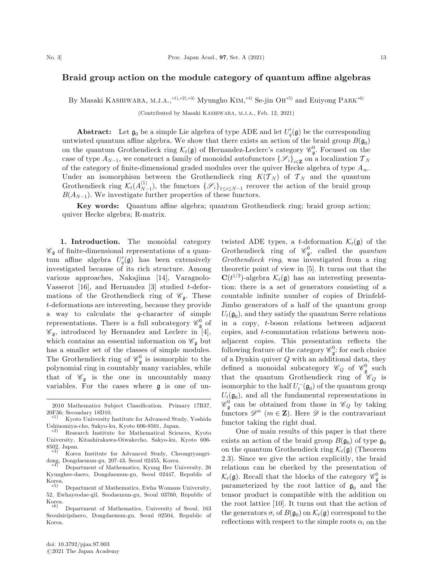## Braid group action on the module category of quantum affine algebras

By Masaki KASHIWARA, M.J.A.,\*<sup>1),\*2),\*3)</sup> Myungho KIM,\*<sup>4)</sup> Se-jin OH<sup>\*5)</sup> and Euiyong PARK<sup>\*6)</sup>

(Contributed by Masaki KASHIWARA, M.J.A., Feb. 12, 2021)

**Abstract:** Let  $\mathfrak{g}_0$  be a simple Lie algebra of type ADE and let  $U_q'(\mathfrak{g})$  be the corresponding untwisted quantum affine algebra. We show that there exists an action of the braid group  $B(\mathfrak{g}_0)$ on the quantum Grothendieck ring  $\mathcal{K}_t(\mathfrak{g})$  of Hernandez-Leclerc's category  $\mathscr{C}_{\mathfrak{g}}^0$ . Focused on the case of type  $A_{N-1}$ , we construct a family of monoidal autofunctors  $\{\mathscr{S}_i\}_{i\in\mathbb{Z}}$  on a localization  $\mathcal{T}_N$ of the category of finite-dimensional graded modules over the quiver Hecke algebra of type  $A_{\infty}$ . Under an isomorphism between the Grothendieck ring  $K(\mathcal{T}_N)$  of  $\mathcal{T}_N$  and the quantum Grothendieck ring  $\mathcal{K}_t(A_{N-1}^{(1)})$ , the functors  $\{\mathscr{S}_i\}_{1\leq i\leq N-1}$  recover the action of the braid group  $B(A_{N-1})$ . We investigate further properties of these functors.

Key words: Quantum affine algebra; quantum Grothendieck ring; braid group action; quiver Hecke algebra; R-matrix.

1. Introduction. The monoidal category  $\mathscr{C}_{\mathfrak{a}}$  of finite-dimensional representations of a quantum affine algebra  $U_q'(\mathfrak{g})$  has been extensively investigated because of its rich structure. Among various approaches, Nakajima [14], Varagnolo-Vasserot  $[16]$ , and Hernandez  $[3]$  studied t-deformations of the Grothendieck ring of  $\mathscr{C}_{\mathfrak{g}}$ . These t-deformations are interesting, because they provide a way to calculate the  $q$ -character of simple representations. There is a full subcategory  $\mathscr{C}_{\mathfrak{g}}^0$  of  $\mathscr{C}_{\mathfrak{g}}$ , introduced by Hernandez and Leclerc in [4], which contains an essential information on  $\mathscr{C}_{\mathfrak{g}}$  but has a smaller set of the classes of simple modules. The Grothendieck ring of  $\mathscr{C}_{\mathfrak{g}}^0$  is isomorphic to the polynomial ring in countably many variables, while that of  $\mathscr{C}_{\mathfrak{a}}$  is the one in uncountably many variables. For the cases where g is one of un-

twisted ADE types, a *t*-deformation  $\mathcal{K}_t(\mathfrak{g})$  of the Grothendieck ring of  $\mathcal{C}_{\mathfrak{g}}^0$ , called the *quantum* Grothendieck ring, was investigated from a ring theoretic point of view in [5]. It turns out that the  $\mathbf{C}(t^{1/2})$ -algebra  $\mathcal{K}_t(\mathfrak{g})$  has an interesting presentation: there is a set of generators consisting of a countable infinite number of copies of Drinfeld-Jimbo generators of a half of the quantum group  $U_t(\mathfrak{g}_0)$ , and they satisfy the quantum Serre relations in a copy, t-boson relations between adjacent copies, and t-commutation relations between nonadjacent copies. This presentation reflects the following feature of the category  $\mathscr{C}^0_{\mathfrak{g}}$ : for each choice of a Dynkin quiver  $Q$  with an additional data, they defined a monoidal subcategory  $\mathcal{C}_Q$  of  $\mathcal{C}_\mathfrak{g}^0$  such that the quantum Grothendieck ring of  $\mathscr{C}_Q$  is isomorphic to the half  $U_t^-(\mathfrak{g}_0)$  of the quantum group  $U_t(\mathfrak{g}_0)$ , and all the fundamental representations in  $\mathscr{C}_{\mathfrak{g}}^0$  can be obtained from those in  $\mathscr{C}_Q$  by taking functors  $\mathscr{D}^m$  ( $m \in \mathbb{Z}$ ). Here  $\mathscr{D}$  is the contravariant functor taking the right dual.

One of main results of this paper is that there exists an action of the braid group  $B(\mathfrak{g}_0)$  of type  $\mathfrak{g}_0$ on the quantum Grothendieck ring  $\mathcal{K}_t(\mathfrak{g})$  (Theorem 2.3). Since we give the action explicitly, the braid relations can be checked by the presentation of  $\mathcal{K}_t(\mathfrak{g})$ . Recall that the blocks of the category  $\mathscr{C}_{\mathfrak{g}}^0$  is parameterized by the root lattice of  $\mathfrak{g}_0$  and the tensor product is compatible with the addition on the root lattice [10]. It turns out that the action of the generators  $\sigma_i$  of  $B(\mathfrak{g}_0)$  on  $\mathcal{K}_t(\mathfrak{g})$  correspond to the reflections with respect to the simple roots  $\alpha_i$  on the

<sup>2010</sup> Mathematics Subject Classification. Primary 17B37,

<sup>20</sup>F36; Secondary 18D10.<br>
\*<sup>1)</sup> Kyoto University Institute for Advanced Study, Yoshida Ushinomiya-cho, Sakyo-ku, Kyoto 606-8501, Japan. -

 $*2)$  Research Institute for Mathematical Sciences, Kyoto University, Kitashirakawa-Oiwakecho, Sakyo-ku, Kyoto 606-  $8502$ , Japan.

Korea Institute for Advanced Study, Cheongryangridong, Dongdaemun-gu, 207-43, Seoul 02455, Korea. -

Department of Mathematics, Kyung Hee University, 26 Kyunghee-daero, Dongdaemun-gu, Seoul 02447, Republic of  $K$ orea.

Department of Mathematics, Ewha Womans University, 52, Ewhayeodae-gil, Seodaemun-gu, Seoul 03760, Republic of Korea.

 $\ast 6)$  Department of Mathematics, University of Seoul, 163 Seoulsiripdaero, Dongdaemun-gu, Seoul 02504, Republic of Korea.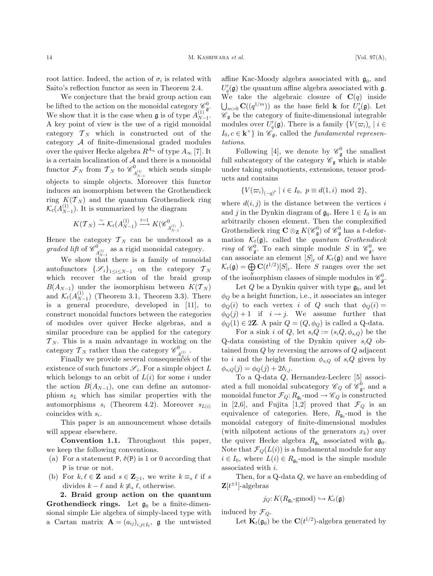root lattice. Indeed, the action of  $\sigma_i$  is related with Saito's reflection functor as seen in Theorem 2.4.

We conjecture that the braid group action can be lifted to the action on the monoidal category  $\mathcal{C}_{\mathfrak{g}}^0$ . We show that it is the case when  $\mathfrak g$  is of type  $A_{N-1}^{(1)}$ . A key point of view is the use of a rigid monoidal category  $\mathcal{T}_N$  which is constructed out of the category A of finite-dimensional graded modules over the quiver Hecke algebra  $R^{A_{\infty}}$  of type  $A_{\infty}$  [7]. It is a certain localization of  $A$  and there is a monoidal functor  $\mathcal{F}_N$  from  $\mathcal{T}_N$  to  $\mathscr{C}_{A_{N-1}^{(1)}}^{0}$  which sends simple objects to simple objects. Moreover this functor induces an isomorphism between the Grothendieck ring  $K(T_N)$  and the quantum Grothendieck ring  $\mathcal{K}_t(A_{N-1}^{(1)})$ . It is summarized by the diagram

$$
K(\mathcal{T}_N) \xrightarrow{\sim} \mathcal{K}_t(A_{N-1}^{(1)}) \xrightarrow{t=1} K(\mathscr{C}_{A_{N-1}^{(1)}}^{0}).
$$

Hence the category  $\mathcal{T}_N$  can be understood as a graded lift of  $\mathscr{C}_{A_{N-1}^{(1)}}^{0}$  as a rigid monoidal category.

We show that there is a family of monoidal autofunctors  $\{\mathscr{S}_i\}_{1\leq i\leq N-1}$  on the category  $\mathcal{T}_N$ which recover the action of the braid group  $B(A_{N-1})$  under the isomorphism between  $K(\mathcal{T}_N)$ and  $\mathcal{K}_t(A_{N-1}^{(1)})$  (Theorem 3.1, Theorem 3.3). There is a general procedure, developed in [11], to construct monoidal functors between the categories of modules over quiver Hecke algebras, and a similar procedure can be applied for the category  $T_N$ . This is a main advantage in working on the category  $\mathcal{T}_N$  rather than the category  $\mathscr{C}_{A_{N-1}^{(1)}}^{0}$ .

Finally we provide several consequences of the existence of such functors  $\mathscr{S}_i$ . For a simple object L which belongs to an orbit of  $L(i)$  for some i under the action  $B(A_{N-1})$ , one can define an automorphism  $s_L$  which has similar properties with the automorphisms  $s_i$  (Theorem 4.2). Moreover  $s_{L(i)}$ coincides with  $s_i$ .

This paper is an announcement whose details will appear elsewhere.

Convention 1.1. Throughout this paper, we keep the following conventions.

- (a) For a statement P,  $\delta(P)$  is 1 or 0 according that P is true or not.
- (b) For  $k, \ell \in \mathbb{Z}$  and  $s \in \mathbb{Z}_{\geq 1}$ , we write  $k \equiv_s \ell$  if s divides  $k - \ell$  and  $k \neq s \ell$ , otherwise.

2. Braid group action on the quantum **Grothendieck rings.** Let  $\mathfrak{g}_0$  be a finite-dimensional simple Lie algebra of simply-laced type with a Cartan matrix  $\mathbf{A} = (a_{ij})_{i,j \in I_0}$ , g the untwisted

affine Kac-Moody algebra associated with  $\mathfrak{g}_0$ , and  $U_q'(\mathfrak{g})$  the quantum affine algebra associated with  $\mathfrak{g}$ . We take the algebraic closure of  $\mathbf{C}(q)$  inside  $\bigcup_{m>0} \mathbf{C}((q^{1/m}))$  as the base field **k** for  $U_q'(\mathfrak{g})$ . Let  $\mathscr{C}_{\mathfrak{g}}$  be the category of finite-dimensional integrable modules over  $U_q'(\mathfrak{g})$ . There is a family  $\{V(\varpi_i)_c \mid i \in$  $I_0, c \in \mathbf{k}^{\times}$  in  $\mathscr{C}_{\mathfrak{g}}$ , called the *fundamental represen*tations.

Following [4], we denote by  $\mathcal{C}_{\mathfrak{g}}^0$  the smallest full subcategory of the category  $\mathscr{C}_{\mathfrak{g}}$  which is stable under taking subquotients, extensions, tensor products and contains

$$
\{V(\varpi_i)_{(-q)^p} \mid i \in I_0, \ p \equiv d(1,i) \text{ mod } 2\},\
$$

where  $d(i, j)$  is the distance between the vertices i and j in the Dynkin diagram of  $\mathfrak{g}_0$ . Here  $1 \in I_0$  is an arbitrarily chosen element. Then the complexified Grothendieck ring  $C \otimes_Z K(\mathscr{C}_{\mathfrak{g}}^0)$  of  $\mathscr{C}_{\mathfrak{g}}^0$  has a t-deformation  $\mathcal{K}_t(\mathfrak{g})$ , called the quantum Grothendieck ring of  $\mathcal{C}_{\mathfrak{g}}^0$ . To each simple module S in  $\mathcal{C}_{\mathfrak{g}}^0$ , we can associate an element  $[S]_t$  of  $\mathcal{K}_t(\mathfrak{g})$  and we have  $\mathcal{K}_t(\mathfrak{g}) = \bigoplus \mathbf{C}(t^{1/2})[S]_t$ . Here S ranges over the set of the isomorphism classes of simple modules in  $\mathscr{C}^0_{\mathfrak{g}}$ .

Let Q be a Dynkin quiver with type  $\mathfrak{g}_0$ , and let  $\phi_Q$  be a height function, i.e., it associates an integer  $\phi_Q(i)$  to each vertex i of Q such that  $\phi_Q(i)$  =  $\phi_Q(j) + 1$  if  $i \to j$ . We assume further that  $\phi_O(1) \in 2\mathbb{Z}$ . A pair  $Q = (Q, \phi_O)$  is called a Q-data.

For a sink i of Q, let  $s_iQ := (s_iQ, \phi_{s_iQ})$  be the Q-data consisting of the Dynkin quiver  $s_iQ$  obtained from  $Q$  by reversing the arrows of  $Q$  adjacent to i and the height function  $\phi_{s_iQ}$  of  $s_iQ$  given by  $\phi_{s_iO}(j)=\phi_O(j)+2\delta_{i,i}.$ 

To a Q-data Q, Hernandez-Leclerc [5] associated a full monoidal subcategory  $\mathcal{C}_Q$  of  $\mathcal{C}_\mathfrak{g}^0$ , and a monoidal functor  $\mathcal{F}_Q: R_{\mathfrak{g}_0} \text{-mod} \to \mathscr{C}_Q$  is constructed in [2,6], and Fujita [1,2] proved that  $\mathcal{F}_Q$  is an equivalence of categories. Here,  $R_{\mathfrak{g}_0}$ -mod is the monoidal category of finite-dimensional modules (with nilpotent actions of the generators  $x_k$ ) over the quiver Hecke algebra  $R_{\mathfrak{g}_0}$  associated with  $\mathfrak{g}_0$ . Note that  $\mathcal{F}_Q(L(i))$  is a fundamental module for any  $i \in I_0$ , where  $L(i) \in R_{\mathfrak{g}_0}$ -mod is the simple module associated with i.

Then, for a Q-data Q, we have an embedding of  $\mathbf{Z}[t^{\pm 1}]$ -algebras

$$
j_Q: K(R_{\mathfrak{g}_0} \text{-}\mathsf{gmod}) \hookrightarrow \mathcal{K}_t(\mathfrak{g})
$$

induced by  $\mathcal{F}_Q$ .

Let  $\mathbf{K}_t(\mathfrak{g}_0)$  be the  $\mathbf{C}(t^{1/2})$ -algebra generated by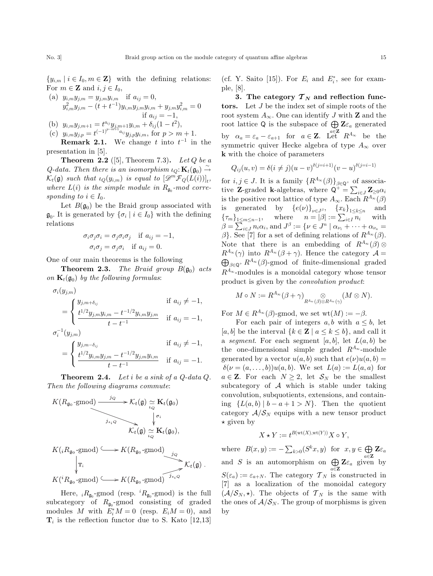$\{y_{i,m} \mid i \in I_0, m \in \mathbb{Z}\}\$  with the defining relations: For  $m \in \mathbb{Z}$  and  $i, j \in I_0$ ,

(a) 
$$
y_{i,m}y_{j,m} = y_{j,m}y_{i,m}
$$
 if  $a_{ij} = 0$ ,  
\n $y_{i,m}^2y_{j,m} - (t + t^{-1})y_{i,m}y_{j,m}y_{i,m} + y_{j,m}y_{i,m}^2 = 0$   
\nif  $a_{ij} = -1$ ,

(b)  $y_{i,m}y_{j,m+1} = t^{a_{ij}}y_{j,m+1}y_{i,m} + \delta_{ij}(1-t^2),$ (c)  $y_{i,m}y_{j,p} = t^{(-1)^{p-m+1}a_{ij}}y_{j,p}y_{i,m}$ , for  $p > m+1$ .

**Remark 2.1.** We change t into  $t^{-1}$  in the presentation in [5].

**Theorem 2.2** ([5], Theorem 7.3). Let Q be a Q-data. Then there is an isomorphism  $\iota_Q: \mathbf{K}_t(\mathfrak{g}_0) \rightarrow$  $\mathcal{K}_t(\mathfrak{g})$  such that  $\iota_Q(y_{i,m})$  is equal to  $[\mathscr{D}^m \mathcal{F}_Q(L(i))]_t$ , where  $L(i)$  is the simple module in  $R_{\mathfrak{g}_0}$ -mod corresponding to  $i \in I_0$ .

Let  $B(\mathfrak{g}_0)$  be the Braid group associated with  $\mathfrak{g}_0$ . It is generated by  $\{\sigma_i \mid i \in I_0\}$  with the defining relations

$$
\sigma_i \sigma_j \sigma_i = \sigma_j \sigma_i \sigma_j \quad \text{if } a_{ij} = -1,
$$
  

$$
\sigma_i \sigma_j = \sigma_j \sigma_i \quad \text{if } a_{ij} = 0.
$$

One of our main theorems is the following

**Theorem 2.3.** The Braid group  $B(\mathfrak{g}_0)$  acts on  $\mathbf{K}_t(\mathfrak{g}_0)$  by the following formulas:

$$
\sigma_i(y_{j,m})
$$
\n
$$
= \begin{cases}\ny_{j,m} + \delta_{ij} & \text{if } a_{ij} \neq -1, \\
\frac{t^{1/2} y_{j,m} y_{i,m} - t^{-1/2} y_{i,m} y_{j,m}}{t - t^{-1}} & \text{if } a_{ij} = -1, \\
\sigma_i^{-1}(y_{j,m}) & \text{if } a_{ij} \neq -1, \\
\frac{t^{1/2} y_{i,m} y_{j,m} - t^{-1/2} y_{j,m} y_{i,m}}{t - t^{-1}} & \text{if } a_{ij} = -1.\n\end{cases}
$$

**Theorem 2.4.** Let i be a sink of a  $Q$ -data  $Q$ . Then the following diagrams commute:

$$
K(R_{\mathfrak{g}_0}\text{-gmod})\xrightarrow{j_Q} \mathcal{K}_t(\mathfrak{g}) \underset{i_Q}{\simeq} \mathbf{K}_t(\mathfrak{g}_0)
$$

$$
\xrightarrow{j_{s_i Q}} \qquad \qquad \downarrow \sigma_i
$$

$$
\mathcal{K}_t(\mathfrak{g}) \underset{i_Q}{\simeq} \mathbf{K}_t(\mathfrak{g}_0),
$$

$$
K(iR_{\mathfrak{g}_0}\text{-gmod}) \xrightarrow{\qquad \qquad \downarrow} K(R_{\mathfrak{g}_0}\text{-gmod})
$$

$$
\qquad \qquad \downarrow \qquad \qquad \downarrow \qquad \qquad \downarrow \qquad \qquad \mathcal{K}_t(\mathfrak{g}) .
$$

$$
K({}^{i}R_{\mathfrak{a}_0}\text{-}\mathrm{gmod}) \longrightarrow K(R_{\mathfrak{a}_0}\text{-}\mathrm{gmod})
$$

Here,  ${}_{i}R_{\mathfrak{g}_{0}}$ -gmod (resp.  ${}^{i}R_{\mathfrak{g}_{0}}$ -gmod) is the full subcategory of  $R_{\mathfrak{g}_0}$ -gmod consisting of graded modules M with  $E_i^*M = 0$  (resp.  $E_iM = 0$ ), and  $\mathbf{T}_i$  is the reflection functor due to S. Kato [12,13]

(cf. Y. Saito [15]). For  $E_i$  and  $E_i^*$ , see for example, [8].

3. The category  $T_N$  and reflection functors. Let J be the index set of simple roots of the root system  $A_{\infty}$ . One can identify J with **Z** and the root lattice Q is the subspace of  $\bigoplus \mathbf{Z}_{\mathcal{E}_a}$  generated by  $\alpha_a = \varepsilon_a - \varepsilon_{a+1}$  for  $a \in \mathbb{Z}$ . Let  $R^{A_{\infty}}$  be the symmetric quiver Hecke algebra of type  $A_{\infty}$  over k with the choice of parameters

$$
Q_{ij}(u, v) = \delta(i \neq j)(u - v)^{\delta(j=i+1)}(v - u)^{\delta(j=i-1)}
$$

for  $i, j \in J$ . It is a family  $\{R^{A_{\infty}}(\beta)\}_{\beta \in \mathbb{Q}^+}$  of associative **Z**-graded **k**-algebras, where  $Q^+ = \sum_{i \in J} Z_{\geq 0} \alpha_i$ is the positive root lattice of type  $A_{\infty}$ . Each  $R^{A_{\infty}}(\beta)$ is generated by  $\{e(\nu)\}_{\nu \in J^{\beta}}$ ,  $\{x_k\}_{1 \leq k \leq n}$  and  $\{\tau_m\}_{1 \leq m \leq n-1}$ , where  $n = |\beta| := \sum_{i \in I} n_i$  with  $\beta = \sum_{i \in J} n_i \alpha_i$ , and  $J^{\beta} := \{ \nu \in J^n \mid \alpha_{\nu_1} + \cdots + \alpha_{\nu_n} =$  $\beta$ . See [7] for a set of defining relations of  $R^{A_{\infty}}(\beta)$ . Note that there is an embedding of  $R^{A_{\infty}}(\beta)$  $R^{A_{\infty}}(\gamma)$  into  $R^{A_{\infty}}(\beta + \gamma)$ . Hence the category  $\mathcal{A} =$  $\bigoplus_{\beta \in \mathsf{Q}^+} R^{A_{\infty}}(\beta)$ -gmod of finite-dimensional graded  $R^{A_{\infty}}$ -modules is a monoidal category whose tensor product is given by the convolution product:

$$
M\circ N:=R^{A_{\infty}}(\beta+\gamma)\underset{R^{A_{\infty}}(\beta)\otimes R^{A_{\infty}}(\gamma)}{\otimes}(M\otimes N).
$$

For  $M \in R^{A_{\infty}}(\beta)$ -gmod, we set wt $(M) := -\beta$ .

For each pair of integers  $a, b$  with  $a \leq b$ , let [a, b] be the interval  $\{k \in \mathbf{Z} \mid a \leq k \leq b\}$ , and call it a segment. For each segment  $[a, b]$ , let  $L(a, b)$  be the one-dimensional simple graded  $R^{A_{\infty}}$ -module generated by a vector  $u(a, b)$  such that  $e(\nu)u(a, b) =$  $\delta(\nu=(a,\ldots,b))u(a,b)$ . We set  $L(a):=L(a,a)$  for  $a \in \mathbb{Z}$ . For each  $N \geq 2$ , let  $S_N$  be the smallest subcategory of A which is stable under taking convolution, subquotients, extensions, and containing  ${L(a,b) | b-a+1 > N}$ . Then the quotient category  $A/S_N$  equips with a new tensor product  $\star$  given by

$$
X \star Y := t^{B(\operatorname{wt}(X),\operatorname{wt}(Y))} X \circ Y,
$$

where  $B(x, y) := -\sum_{k>0} (S^k x, y)$  for  $x, y \in \bigoplus \mathbb{Z} \varepsilon_a$ and S is an automorphism on  $\bigoplus \mathbf{Z}_{\mathcal{E}_a}$  given by  $S(\varepsilon_a) := \varepsilon_{a+N}$ . The category  $\mathcal{T}_N$  is constructed in [7] as a localization of the monoidal category  $(\mathcal{A}/\mathcal{S}_N, \star)$ . The objects of  $\mathcal{T}_N$  is the same with the ones of  $A/S_N$ . The group of morphisms is given by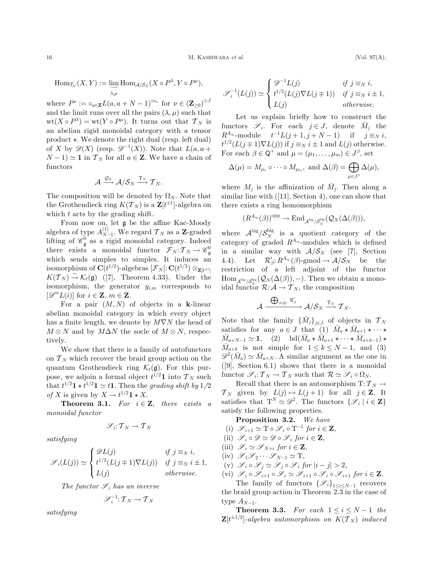$$
\operatorname{Hom}_{\mathcal{T}_\mathcal{N}}(X, Y) := \varinjlim_{\lambda, \mu} \operatorname{Hom}_{\mathcal{A}/\mathcal{S}_N}(X \circ P^\lambda, Y \circ P^\mu),
$$

where  $P^{\nu} := \circ_{a \in \mathbf{Z}} L(a, a + N - 1)^{\circ \nu_a}$  for  $\nu \in (\mathbf{Z}_{\geq 0})^{\oplus J}$ and the limit runs over all the pairs  $(\lambda, \mu)$  such that  $wt(X \circ P^{\lambda}) = wt(Y \circ P^{\mu})$ . It turns out that  $\mathcal{T}_N$  is an abelian rigid monoidal category with a tensor product  $\star$ . We denote the right dual (resp. left dual) of X by  $\mathscr{D}(X)$  (resp.  $\mathscr{D}^{-1}(X)$ ). Note that  $L(a, a +$  $(N-1) \simeq 1$  in  $\mathcal{T}_N$  for all  $a \in \mathbb{Z}$ . We have a chain of functors

$$
\mathcal{A} \xrightarrow{\mathcal{Q}_N} \mathcal{A}/\mathcal{S}_N \xrightarrow{\Upsilon_N} \mathcal{T}_N.
$$

The composition will be denoted by  $\Omega_N$ . Note that the Grothendieck ring  $K(\mathcal{T}_N)$  is a  $\mathbf{Z}[t^{\pm 1}]$ -algebra on which t acts by the grading shift.

From now on, let g be the affine Kac-Moody algebra of type  $A_{N-1}^{(1)}$ . We regard  $\mathcal{T}_N$  as a **Z**-graded lifting of  $\mathscr{C}_{\mathfrak{g}}^0$  as a rigid monoidal category. Indeed there exists a monoidal functor  $\mathcal{F}_N : \mathcal{T}_N \to \mathscr{C}^0_{\mathfrak{g}}$ which sends simples to simples. It induces an isomorphism of  $\mathbf{C}(t^{1/2})$ -algebras  $[\mathcal{F}_N]\!:\!\mathbf{C}(t^{1/2})\otimes_{\mathbf{Z}[t^{\pm 1}]}$  $K(\mathcal{T}_N) \stackrel{\sim}{\rightarrow} \mathcal{K}_t(\mathfrak{g})$  ([7], Theorem 4.33). Under the isomorphism, the generator  $y_{i,m}$  corresponds to  $[\mathscr{D}^m L(i)]$  for  $i \in \mathbb{Z}$ ,  $m \in \mathbb{Z}$ .

For a pair  $(M, N)$  of objects in a k-linear abelian monoidal category in which every object has a finite length, we denote by  $M\nabla N$  the head of  $M \otimes N$  and by  $M\Delta N$  the socle of  $M \otimes N$ , respectively.

We show that there is a family of autofunctors on  $\mathcal{T}_N$  which recover the braid group action on the quantum Grothendieck ring  $\mathcal{K}_t(\mathfrak{g})$ . For this purpose, we adjoin a formal object  $t^{1/2}$ **1** into  $\mathcal{T}_N$  such that  $t^{1/2}$ **1**  $\star$   $t^{1/2}$ **1**  $\simeq$  *t***1**. Then the grading shift by 1/2 of X is given by  $X \to t^{1/2} \mathbf{1} \star X$ .

**Theorem 3.1.** For  $i \in \mathbb{Z}$ , there exists a monoidal functor

$$
\mathscr{S}_i\text{: } \mathcal{T}_N \to \mathcal{T}_N
$$

satisfying

$$
\mathscr{S}_i(L(j)) \simeq \begin{cases} \mathscr{D}L(j) & \text{if } j \equiv_N i, \\ t^{1/2}(L(j+1)\nabla L(j)) & \text{if } j \equiv_N i \pm 1, \\ L(j) & otherwise. \end{cases}
$$

The functor  $\mathscr{S}_i$  has an inverse

$$
\mathscr{S}_i^{-1} \colon \mathcal{T}_N \to \mathcal{T}_N
$$

satisfying

$$
\mathscr{S}_i^{-1}(L(j)) \simeq \begin{cases} \mathscr{D}^{-1}L(j) & \text{if } j \equiv_N i, \\ t^{1/2}(L(j)\nabla L(j+1)) & \text{if } j \equiv_N i \pm 1, \\ L(j) & \text{otherwise.} \end{cases}
$$

Let us explain briefly how to construct the functors  $\mathscr{S}_i$ . For each  $j \in J$ , denote  $\overline{M}_j$  the  $R^{A_{\infty}}$ -module  $t^{-1}L(j+1, j+N-1)$  if  $j \equiv_N i$ ,  $t^{1/2}(L(j \mp 1)\nabla L(j))$  if  $j \equiv_N i \pm 1$  and  $L(j)$  otherwise. For each  $\beta \in \mathsf{Q}^+$  and  $\mu = (\mu_1, \ldots, \mu_m) \in J^{\beta}$ , set

$$
\Delta(\mu) = M_{\mu_1} \circ \cdots \circ M_{\mu_m}, \text{ and } \Delta(\beta) = \bigoplus_{\mu \in J^{\beta}} \Delta(\mu),
$$

where  $M_j$  is the affinization of  $\overline{M}_j$ . Then along a similar line with  $([11], \text{Section 4})$ , one can show that there exists a ring homomorphism

$$
(R^{A_{\infty}}(\beta))^{\mathrm{opp}} \rightarrow \mathrm{End}_{\mathcal{A}^{\mathrm{big}}/\mathcal{S}^{\mathrm{big}}_{N}}(\mathcal{Q}_{N}(\Delta(\beta))),
$$

where  $A^{\text{big}}/S_N^{\text{big}}$  is a quotient category of the category of graded  $R^{A_{\infty}}$ -modules which is defined in a similar way with  $A/S_N$  (see [7], Section 4.4). Let  $\mathcal{R}'_{\beta}: R^{A_{\infty}}(\beta)$ -gmod  $\rightarrow \mathcal{A}/\mathcal{S}_N$  be the restriction of a left adjoint of the functor  $\text{Hom}_{\mathcal{A}^{\text{big}}/\mathcal{S}_{N}^{\text{big}}}(\mathcal{Q}_{N}(\Delta(\beta)),-)$ . Then we obtain a monoidal functor  $\mathcal{R}: \mathcal{A} \to \mathcal{T}_N$ , the composition

$$
\mathcal{A} \xrightarrow{\bigoplus_{\beta \in \mathbb{Q}^+} \mathcal{R}'_\beta} \mathcal{A}/\mathcal{S}_N \xrightarrow{\Upsilon_N} \mathcal{T}_N.
$$

Note that the family  $\{\bar{M}_j\}_{j\in J}$  of objects in  $\mathcal{T}_N$ satisfies for any  $a \in J$  that (1)  $\bar{M}_a \star \bar{M}_{a+1} \star \cdots \star$  $\bar{M}_{a+N-1} \simeq 1$ , (2)  $\text{hd}(\bar{M}_a \star \bar{M}_{a+1} \star \cdots \star \bar{M}_{a+k-1}) \star$  $\overline{M}_{a+k}$  is not simple for  $1 \leq k \leq N-1$ , and (3)  $\mathscr{D}^2(\bar{M}_a) \simeq \bar{M}_{a+N}$ . A similar argument as the one in  $([9],$  Section 6.1) shows that there is a monoidal functor  $\mathscr{S}_i: \mathcal{T}_N \to \mathcal{T}_N$  such that  $\mathcal{R} \simeq \mathscr{S}_i \circ \Omega_N$ .

Recall that there is an automorphism  $T: \mathcal{T}_N \to$  $\mathcal{T}_N$  given by  $L(j) \mapsto L(j+1)$  for all  $j \in \mathbb{Z}$ . It satisfies that  $T^N \simeq \mathscr{D}^2$ . The functors  $\{\mathscr{S}_i \mid i \in \mathbf{Z}\}\$ satisfy the following properties.

Proposition 3.2. We have

- (i)  $\mathscr{S}_{i+1} \simeq T \circ \mathscr{S}_i \circ T^{-1}$  for  $i \in \mathbf{Z}$ ,
- (ii)  $\mathscr{S}_i \circ \mathscr{D} \simeq \mathscr{D} \circ \mathscr{S}_i$  for  $i \in \mathbf{Z}$ ,
- (iii)  $\mathscr{S}_i \simeq \mathscr{S}_{N+i}$  for  $i \in \mathbf{Z}$ ,
- (iv)  $\mathscr{S}_1 \mathscr{S}_2 \cdots \mathscr{S}_{N-1} \simeq T$ ,
- (v)  $\mathscr{S}_i \circ \mathscr{S}_j \simeq \mathscr{S}_i \circ \mathscr{S}_i$  for  $|i j| > 2$ ,
- (vi)  $\mathscr{S}_i \circ \mathscr{S}_{i+1} \circ \mathscr{S}_i \simeq \mathscr{S}_{i+1} \circ \mathscr{S}_i \circ \mathscr{S}_{i+1}$  for  $i \in \mathbf{Z}$ .

The family of functors  $\{\mathscr{S}_i\}_{1\leq i\leq N-1}$  recovers the braid group action in Theorem 2.3 in the case of type  $A_{N-1}$ .

**Theorem 3.3.** For each  $1 \le i \le N-1$  the  $\mathbf{Z}[t^{\pm 1/2}]$ -algebra automorphism on  $K(\mathcal{T}_N)$  induced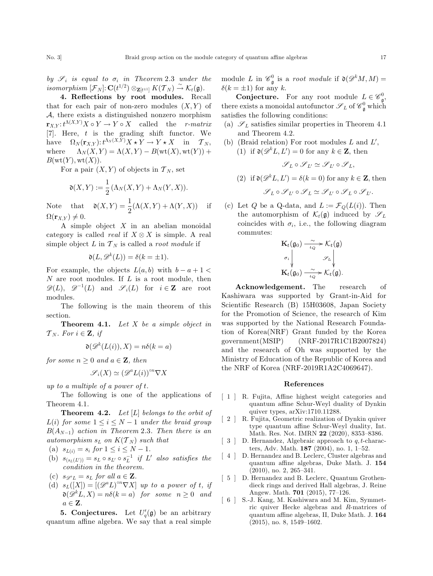by  $\mathscr{S}_i$  is equal to  $\sigma_i$  in Theorem 2.3 under the  $isomorphism\ [\mathcal{F}_N] \colon \mathbf{C}(t^{1/2}) \otimes_{\mathbf{Z}[t^{\pm 1}]} K(\mathcal{T}_N) \overset{\sim}{\rightarrow} \mathcal{K}_t(\mathfrak{g}).$ 

4. Reflections by root modules. Recall that for each pair of non-zero modules  $(X, Y)$  of A, there exists a distinguished nonzero morphism  ${\bf r}_{X,Y} : t^{\Lambda(X,Y)} X \circ Y \to Y \circ X$  called the *r-matrix* [7]. Here, t is the grading shift functor. We have  $\Omega_N(\mathbf{r}_{X,Y}): t^{\Lambda_N(X,Y)}X \star Y \to Y \star X$  in  $\mathcal{T}_N$ , where  $\Lambda_N(X, Y) = \Lambda(X, Y) - B(\text{wt}(X), \text{wt}(Y))$  +  $B({\rm wt}(Y),{\rm wt}(X)).$ 

For a pair  $(X, Y)$  of objects in  $\mathcal{T}_N$ , set

$$
\mathfrak{d}(X,Y) := \frac{1}{2} (\Lambda_N(X,Y) + \Lambda_N(Y,X)).
$$

Note that  $\mathfrak{d}(X,Y) = \frac{1}{2}(\Lambda(X,Y) + \Lambda(Y,X))$  if  $\Omega(\mathbf{r}_{X,Y}) \neq 0.$ 

A simple object  $X$  in an abelian monoidal category is called *real* if  $X \otimes X$  is simple. A real simple object  $L$  in  $\mathcal{T}_N$  is called a *root module* if

$$
\mathfrak{d}(L, \mathcal{D}^k(L)) = \delta(k = \pm 1).
$$

For example, the objects  $L(a, b)$  with  $b - a + 1 <$  $N$  are root modules. If  $L$  is a root module, then  $\mathscr{D}(L)$ ,  $\mathscr{D}^{-1}(L)$  and  $\mathscr{S}_i(L)$  for  $i \in \mathbb{Z}$  are root modules.

The following is the main theorem of this section.

**Theorem 4.1.** Let  $X$  be a simple object in  $\mathcal{T}_N$ . For  $i \in \mathbf{Z}$ , if

$$
\mathfrak{d}(\mathcal{D}^k(L(i)),X) = n\delta(k=a)
$$

for some  $n > 0$  and  $a \in \mathbf{Z}$ , then

$$
\mathscr{S}_i(X)\simeq \left(\mathscr{D}^aL(i)\right)^{\circ n}\nabla X
$$

up to a multiple of a power of t.

The following is one of the applications of Theorem 4.1.

**Theorem 4.2.** Let  $[L]$  belongs to the orbit of  $L(i)$  for some  $1 \leq i \leq N - 1$  under the braid group  $B(A_{N-1})$  action in Theorem 2.3. Then there is an automorphism  $s_L$  on  $K(\mathcal{T}_N)$  such that

- (a)  $s_{L(i)} = s_i$  for  $1 \le i \le N 1$ .
- (b)  $s_{(s_L(L'))} = s_L \circ s_{L'} \circ s_L^{-1}$  if L' also satisfies the condition in the theorem.
- (c)  $s_{\mathscr{D}^{a}L} = s_L$  for all  $a \in \mathbf{Z}$ .
- (d)  $s_L([X]) = [(\mathscr{D}^a L)^{on} \nabla X]$  up to a power of t, if  $\mathfrak{d}(\mathscr{D}^k L,X) = n\delta(k=a)$  for some  $n \geq 0$  and  $a \in \mathbf{Z}$ .

**5. Conjectures.** Let  $U_q(\mathfrak{g})$  be an arbitrary quantum affine algebra. We say that a real simple module L in  $\mathscr{C}_{\mathfrak{g}}^0$  is a *root module* if  $\mathfrak{d}(\mathscr{D}^kM,M)$  =  $\delta(k = \pm 1)$  for any k.

**Conjecture.** For any root module  $L \in \mathscr{C}_{\mathfrak{g}}^0$ , there exists a monoidal autofunctor  $\mathscr{S}_L$  of  $\mathscr{C}_{\mathfrak{g}}^0$  which satisfies the following conditions:

- (a)  $\mathscr{S}_L$  satisfies similar properties in Theorem 4.1 and Theorem 4.2.
- (b) (Braid relation) For root modules  $L$  and  $L'$ , (1) if  $\mathfrak{d}(\mathcal{D}^k L, L') = 0$  for any  $k \in \mathbb{Z}$ , then

$$
\mathscr{S}_L\circ\mathscr{S}_{L'}\simeq\mathscr{S}_{L'}\circ\mathscr{S}_L,
$$

(2) if  $\mathfrak{d}(\mathscr{D}^k L, L') = \delta(k = 0)$  for any  $k \in \mathbb{Z}$ , then

 $\mathscr{S}_L \circ \mathscr{S}_L \circ \mathscr{S}_L \simeq \mathscr{S}_{L'} \circ \mathscr{S}_L \circ \mathscr{S}_{L'}$ 

(c) Let Q be a Q-data, and  $L := \mathcal{F}_Q(L(i))$ . Then the automorphism of  $\mathcal{K}_t(\mathfrak{g})$  induced by  $\mathscr{S}_L$ coincides with  $\sigma_i$ , i.e., the following diagram commutes:

$$
\mathbf{K}_{t}(\mathfrak{g}_{0}) \xrightarrow[\iota_{Q}]{} \mathcal{K}_{t}(\mathfrak{g})
$$
\n
$$
\sigma_{i} \downarrow \qquad \mathcal{S}_{L} \downarrow
$$
\n
$$
\mathbf{K}_{t}(\mathfrak{g}_{0}) \xrightarrow[\iota_{Q}]{} \mathcal{K}_{t}(\mathfrak{g}).
$$

Acknowledgement. The research of Kashiwara was supported by Grant-in-Aid for Scientific Research (B) 15H03608, Japan Society for the Promotion of Science, the research of Kim was supported by the National Research Foundation of Korea(NRF) Grant funded by the Korea government(MSIP) (NRF-2017R1C1B2007824) and the research of Oh was supported by the Ministry of Education of the Republic of Korea and the NRF of Korea (NRF-2019R1A2C4069647).

## References

- [ 1 ] R. Fujita, Affine highest weight categories and quantum affine Schur-Weyl duality of Dynkin quiver types, arXiv:1710.11288.
- [ 2 ] R. Fujita, Geometric realization of Dynkin quiver type quantum affine Schur-Weyl duality, Int. Math. Res. Not. IMRN 22 (2020), 8353–8386.
- [ 3 ] D. Hernandez, Algebraic approach to  $q, t$ -characters, Adv. Math. 187 (2004), no. 1, 1–52.
- [4] D. Hernandez and B. Leclerc, Cluster algebras and quantum affine algebras, Duke Math. J. 154 (2010), no. 2, 265–341.
- [ 5 ] D. Hernandez and B. Leclerc, Quantum Grothendieck rings and derived Hall algebras, J. Reine Angew. Math. 701 (2015), 77–126.
- $[$  6  $]$   $\,$  S.-J. Kang, M. Kashiwara and M. Kim, Symmetric quiver Hecke algebras and R-matrices of quantum affine algebras, II, Duke Math. J. 164 (2015), no. 8, 1549–1602.